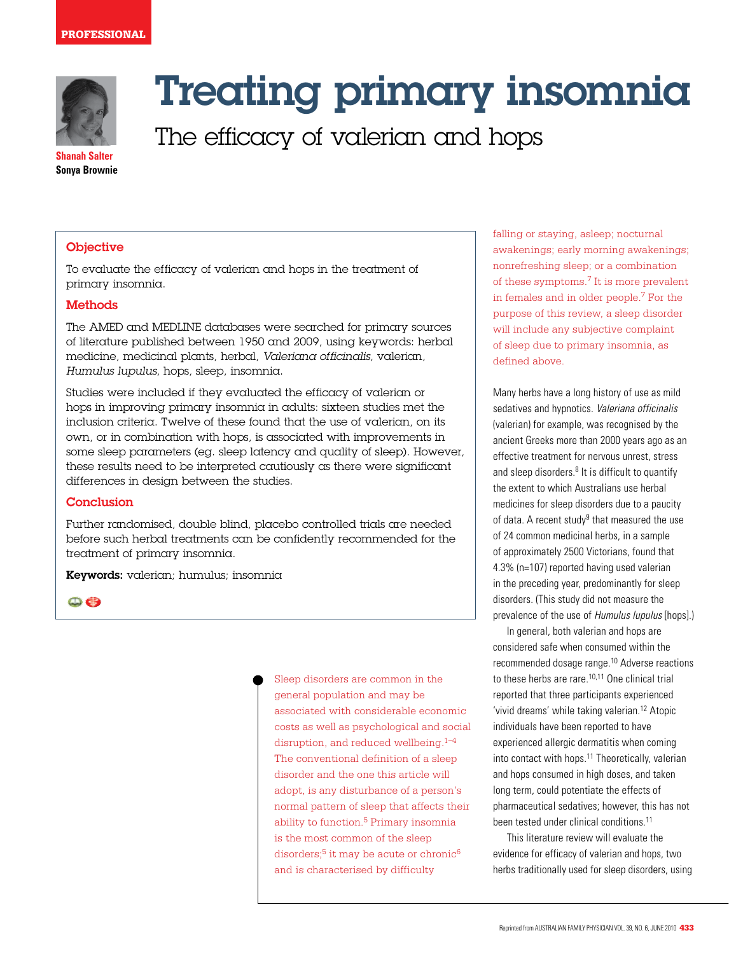

# Treating primary insomnia

The efficacy of valerian and hops

**Shanah Salter Sonya Brownie**

# **Objective**

To evaluate the efficacy of valerian and hops in the treatment of primary insomnia.

#### **Methods**

The AMED and MEDLINE databases were searched for primary sources of literature published between 1950 and 2009, using keywords: herbal medicine, medicinal plants, herbal, Valeriana officinalis, valerian, Humulus lupulus, hops, sleep, insomnia.

Studies were included if they evaluated the efficacy of valerian or hops in improving primary insomnia in adults: sixteen studies met the inclusion criteria. Twelve of these found that the use of valerian, on its own, or in combination with hops, is associated with improvements in some sleep parameters (eg. sleep latency and quality of sleep). However, these results need to be interpreted cautiously as there were significant differences in design between the studies.

#### **Conclusion**

Further randomised, double blind, placebo controlled trials are needed before such herbal treatments can be confidently recommended for the treatment of primary insomnia.

Keywords: valerian; humulus; insomnia

 $\bigcirc$ 

Sleep disorders are common in the general population and may be associated with considerable economic costs as well as psychological and social disruption, and reduced wellbeing. $1-4$ The conventional definition of a sleep disorder and the one this article will adopt, is any disturbance of a person's normal pattern of sleep that affects their ability to function.<sup>5</sup> Primary insomnia is the most common of the sleep disorders;<sup>5</sup> it may be acute or chronic<sup>6</sup> and is characterised by difficulty

falling or staying, asleep; nocturnal awakenings; early morning awakenings; nonrefreshing sleep; or a combination of these symptoms.7 It is more prevalent in females and in older people.7 For the purpose of this review, a sleep disorder will include any subjective complaint of sleep due to primary insomnia, as defined above.

Many herbs have a long history of use as mild sedatives and hypnotics. Valeriana officinalis (valerian) for example, was recognised by the ancient Greeks more than 2000 years ago as an effective treatment for nervous unrest, stress and sleep disorders. $8$  It is difficult to quantify the extent to which Australians use herbal medicines for sleep disorders due to a paucity of data. A recent study<sup>9</sup> that measured the use of 24 common medicinal herbs, in a sample of approximately 2500 Victorians, found that 4.3% (n=107) reported having used valerian in the preceding year, predominantly for sleep disorders. (This study did not measure the prevalence of the use of Humulus lupulus [hops].)

In general, both valerian and hops are considered safe when consumed within the recommended dosage range.10 Adverse reactions to these herbs are rare.<sup>10,11</sup> One clinical trial reported that three participants experienced 'vivid dreams' while taking valerian.12 Atopic individuals have been reported to have experienced allergic dermatitis when coming into contact with hops.<sup>11</sup> Theoretically, valerian and hops consumed in high doses, and taken long term, could potentiate the effects of pharmaceutical sedatives; however, this has not been tested under clinical conditions.<sup>11</sup>

This literature review will evaluate the evidence for efficacy of valerian and hops, two herbs traditionally used for sleep disorders, using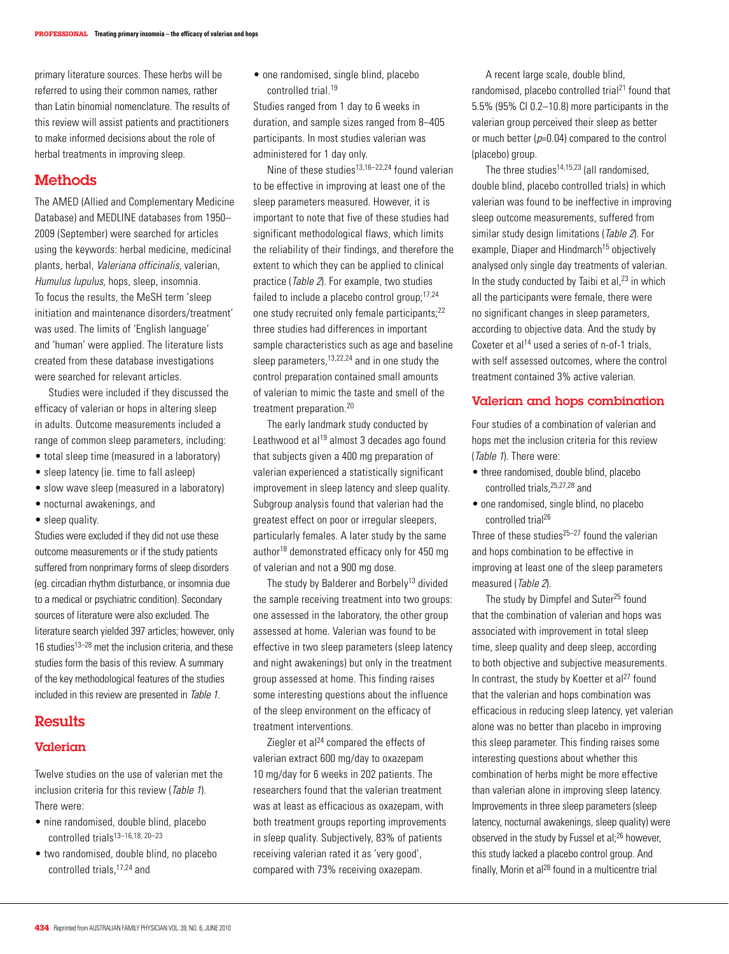primary literature sources. These herbs will be referred to using their common names, rather than Latin binomial nomenclature. The results of this review will assist patients and practitioners to make informed decisions about the role of herbal treatments in improving sleep.

### **Methods**

The AMED (Allied and Complementary Medicine Database) and MEDLINE databases from 1950– 2009 (September) were searched for articles using the keywords: herbal medicine, medicinal plants, herbal, Valeriana officinalis, valerian, Humulus lupulus, hops, sleep, insomnia. To focus the results, the MeSH term 'sleep initiation and maintenance disorders/treatment' was used. The limits of 'English language' and 'human' were applied. The literature lists created from these database investigations were searched for relevant articles.

 Studies were included if they discussed the efficacy of valerian or hops in altering sleep in adults. Outcome measurements included a range of common sleep parameters, including:

- total sleep time (measured in a laboratory)
- sleep latency (ie. time to fall asleep)
- slow wave sleep (measured in a laboratory)
- nocturnal awakenings, and
- sleep quality.

Studies were excluded if they did not use these outcome measurements or if the study patients suffered from nonprimary forms of sleep disorders (eg. circadian rhythm disturbance, or insomnia due to a medical or psychiatric condition). Secondary sources of literature were also excluded. The literature search yielded 397 articles; however, only 16 studies $13-28$  met the inclusion criteria, and these studies form the basis of this review. A summary of the key methodological features of the studies included in this review are presented in Table 1.

# Results

#### **Valerian**

Twelve studies on the use of valerian met the inclusion criteria for this review (Table 1). There were:

- nine randomised, double blind, placebo controlled trials<sup>13-16,18, 20-23</sup>
- two randomised, double blind, no placebo controlled trials,17,24 and

• one randomised, single blind, placebo controlled trial.19

Studies ranged from 1 day to 6 weeks in duration, and sample sizes ranged from 8–405 participants. In most studies valerian was administered for 1 day only.

 Nine of these studies13,16–22,24 found valerian to be effective in improving at least one of the sleep parameters measured. However, it is important to note that five of these studies had significant methodological flaws, which limits the reliability of their findings, and therefore the extent to which they can be applied to clinical practice (Table 2). For example, two studies failed to include a placebo control group;<sup>17,24</sup> one study recruited only female participants;22 three studies had differences in important sample characteristics such as age and baseline sleep parameters,<sup>13,22,24</sup> and in one study the control preparation contained small amounts of valerian to mimic the taste and smell of the treatment preparation.20

The early landmark study conducted by Leathwood et al<sup>19</sup> almost 3 decades ago found that subjects given a 400 mg preparation of valerian experienced a statistically significant improvement in sleep latency and sleep quality. Subgroup analysis found that valerian had the greatest effect on poor or irregular sleepers, particularly females. A later study by the same author<sup>18</sup> demonstrated efficacy only for 450 mg of valerian and not a 900 mg dose.

The study by Balderer and Borbely<sup>13</sup> divided the sample receiving treatment into two groups: one assessed in the laboratory, the other group assessed at home. Valerian was found to be effective in two sleep parameters (sleep latency and night awakenings) but only in the treatment group assessed at home. This finding raises some interesting questions about the influence of the sleep environment on the efficacy of treatment interventions.

Ziegler et al $^{24}$  compared the effects of valerian extract 600 mg/day to oxazepam 10 mg/day for 6 weeks in 202 patients. The researchers found that the valerian treatment was at least as efficacious as oxazepam, with both treatment groups reporting improvements in sleep quality. Subjectively, 83% of patients receiving valerian rated it as 'very good', compared with 73% receiving oxazepam.

A recent large scale, double blind, randomised, placebo controlled trial<sup>21</sup> found that 5.5% (95% CI 0.2–10.8) more participants in the valerian group perceived their sleep as better or much better  $(p=0.04)$  compared to the control (placebo) group.

The three studies<sup>14,15,23</sup> (all randomised double blind, placebo controlled trials) in which valerian was found to be ineffective in improving sleep outcome measurements, suffered from similar study design limitations (Table 2). For example, Diaper and Hindmarch<sup>15</sup> objectively analysed only single day treatments of valerian. In the study conducted by Taibi et al, $23$  in which all the participants were female, there were no significant changes in sleep parameters, according to objective data. And the study by Coxeter et al<sup>14</sup> used a series of n-of-1 trials, with self assessed outcomes, where the control treatment contained 3% active valerian.

#### Valerian and hops combination

Four studies of a combination of valerian and hops met the inclusion criteria for this review (Table 1). There were:

- three randomised, double blind, placebo controlled trials,25,27,28 and
- one randomised, single blind, no placebo controlled trial26

Three of these studies $25-27$  found the valerian and hops combination to be effective in improving at least one of the sleep parameters measured (Table 2).

The study by Dimpfel and Suter<sup>25</sup> found that the combination of valerian and hops was associated with improvement in total sleep time, sleep quality and deep sleep, according to both objective and subjective measurements. In contrast, the study by Koetter et  $al^{27}$  found that the valerian and hops combination was efficacious in reducing sleep latency, yet valerian alone was no better than placebo in improving this sleep parameter. This finding raises some interesting questions about whether this combination of herbs might be more effective than valerian alone in improving sleep latency. Improvements in three sleep parameters (sleep latency, nocturnal awakenings, sleep quality) were observed in the study by Fussel et al;<sup>26</sup> however, this study lacked a placebo control group. And finally, Morin et al $^{28}$  found in a multicentre trial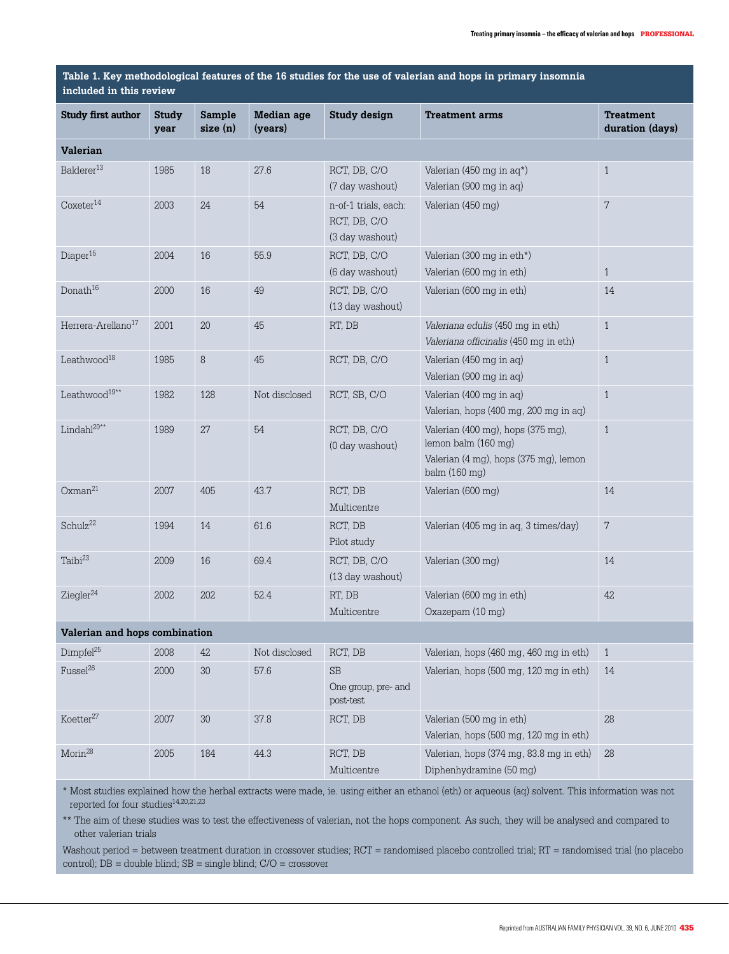#### **Table 1. Key methodological features of the 16 studies for the use of valerian and hops in primary insomnia included in this review**

| $    -$                        |                      |                   |                       |                                                         |                                                                                                                    |                                     |  |  |  |  |
|--------------------------------|----------------------|-------------------|-----------------------|---------------------------------------------------------|--------------------------------------------------------------------------------------------------------------------|-------------------------------------|--|--|--|--|
| <b>Study first author</b>      | <b>Study</b><br>year | Sample<br>size(n) | Median age<br>(years) | <b>Study design</b>                                     | <b>Treatment arms</b>                                                                                              | <b>Treatment</b><br>duration (days) |  |  |  |  |
| <b>Valerian</b>                |                      |                   |                       |                                                         |                                                                                                                    |                                     |  |  |  |  |
| Balderer <sup>13</sup>         | 1985                 | 18                | 27.6                  | RCT, DB, C/O<br>(7 day washout)                         | Valerian (450 mg in $aq^*$ )<br>Valerian (900 mg in aq)                                                            | $\mathbf{1}$                        |  |  |  |  |
| $\text{Coxeter}^{14}$          | 2003                 | 24                | 54                    | n-of-1 trials, each:<br>RCT, DB, C/O<br>(3 day washout) | Valerian (450 mg)                                                                                                  | 7                                   |  |  |  |  |
| Diaper <sup>15</sup>           | 2004                 | 16                | 55.9                  | RCT, DB, C/O<br>(6 day washout)                         | Valerian (300 mg in eth*)<br>Valerian (600 mg in eth)                                                              | $\mathbf{1}$                        |  |  |  |  |
| Donath <sup>16</sup>           | 2000                 | 16                | 49                    | RCT, DB, C/O<br>(13 day washout)                        | Valerian (600 mg in eth)                                                                                           | 14                                  |  |  |  |  |
| Herrera-Arellano <sup>17</sup> | 2001                 | 20                | 45                    | RT, DB                                                  | Valeriana edulis (450 mg in eth)<br>Valeriana officinalis (450 mg in eth)                                          | $\mathbf{1}$                        |  |  |  |  |
| Leathwood <sup>18</sup>        | 1985                 | 8                 | 45                    | RCT, DB, C/O                                            | Valerian (450 mg in aq)<br>Valerian (900 mg in aq)                                                                 | $\mathbf{1}$                        |  |  |  |  |
| Leathwood <sup>19**</sup>      | 1982                 | 128               | Not disclosed         | RCT, SB, C/O                                            | Valerian (400 mg in ag)<br>Valerian, hops (400 mg, 200 mg in aq)                                                   | $\mathbf{1}$                        |  |  |  |  |
| $Lindahl^{20**}$               | 1989                 | 27                | 54                    | RCT, DB, C/O<br>(0 day washout)                         | Valerian (400 mg), hops (375 mg),<br>lemon balm (160 mg)<br>Valerian (4 mg), hops (375 mg), lemon<br>balm (160 mg) | $\mathbf{1}$                        |  |  |  |  |
| Oxman <sup>21</sup>            | 2007                 | 405               | 43.7                  | RCT, DB<br>Multicentre                                  | Valerian (600 mg)                                                                                                  | 14                                  |  |  |  |  |
| Schulz <sup>22</sup>           | 1994                 | 14                | 61.6                  | RCT, DB<br>Pilot study                                  | Valerian (405 mg in aq, 3 times/day)                                                                               | $\sqrt{7}$                          |  |  |  |  |
| Taibi <sup>23</sup>            | 2009                 | 16                | 69.4                  | RCT, DB, C/O<br>(13 day washout)                        | Valerian (300 mg)                                                                                                  | 14                                  |  |  |  |  |
| Ziegler <sup>24</sup>          | 2002                 | 202               | 52.4                  | RT, DB<br>Multicentre                                   | Valerian (600 mg in eth)<br>Oxazepam (10 mg)                                                                       | 42                                  |  |  |  |  |
| Valerian and hops combination  |                      |                   |                       |                                                         |                                                                                                                    |                                     |  |  |  |  |
| Dimpfel <sup>25</sup>          | 2008                 | 42                | Not disclosed         | RCT, DB                                                 | Valerian, hops (460 mg, 460 mg in eth)                                                                             | $\mathbf{1}$                        |  |  |  |  |
| Fussel <sup>26</sup>           | 2000                 | $30\,$            | 57.6                  | SB<br>One group, pre- and<br>post-test                  | Valerian, hops (500 mg, 120 mg in eth)                                                                             | 14                                  |  |  |  |  |
| Koetter <sup>27</sup>          | 2007                 | $30\,$            | 37.8                  | RCT, DB                                                 | Valerian (500 mg in eth)<br>Valerian, hops (500 mg, 120 mg in eth)                                                 | 28                                  |  |  |  |  |
| Morin <sup>28</sup>            | 2005                 | 184               | 44.3                  | RCT, DB<br>Multicentre                                  | Valerian, hops (374 mg, 83.8 mg in eth)<br>Diphenhydramine (50 mg)                                                 | 28                                  |  |  |  |  |

\* Most studies explained how the herbal extracts were made, ie. using either an ethanol (eth) or aqueous (aq) solvent. This information was not reported for four studies  $14,20,21,23$ 

\*\* The aim of these studies was to test the effectiveness of valerian, not the hops component. As such, they will be analysed and compared to other valerian trials

Washout period = between treatment duration in crossover studies; RCT = randomised placebo controlled trial; RT = randomised trial (no placebo control); DB = double blind; SB = single blind; C/O = crossover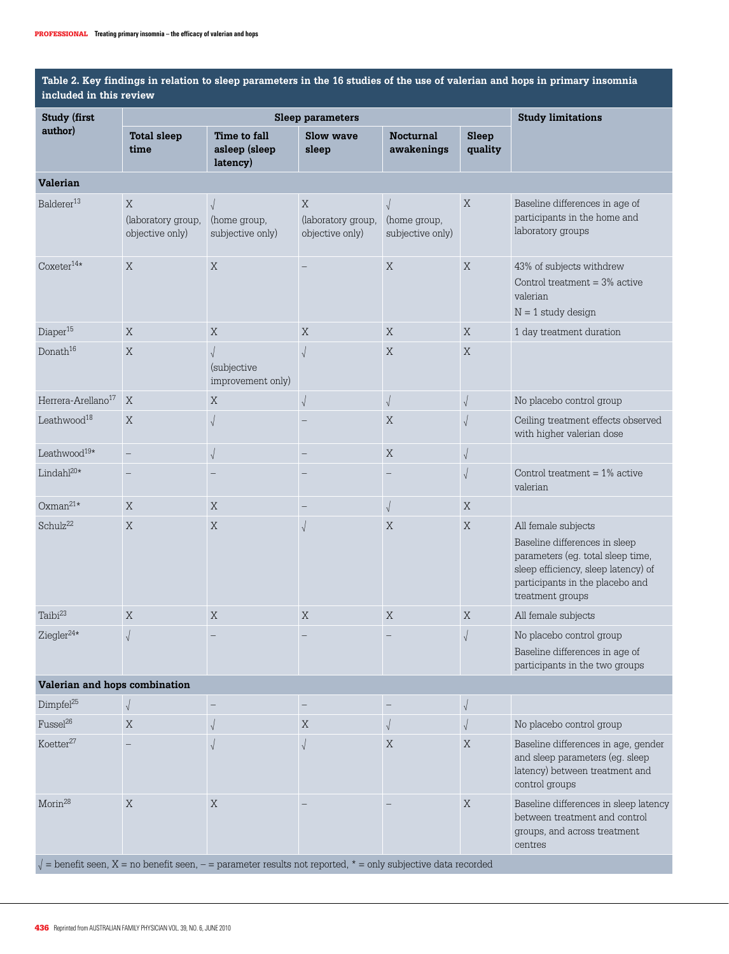**Table 2. Key findings in relation to sleep parameters in the 16 studies of the use of valerian and hops in primary insomnia included in this review**

| <b>Study (first</b>                                                                                            |                                            | Sleep parameters                               | <b>Study limitations</b>                             |                                                |                  |                                                                                                                                                                                         |  |  |  |  |
|----------------------------------------------------------------------------------------------------------------|--------------------------------------------|------------------------------------------------|------------------------------------------------------|------------------------------------------------|------------------|-----------------------------------------------------------------------------------------------------------------------------------------------------------------------------------------|--|--|--|--|
| author)                                                                                                        | <b>Total sleep</b><br>time                 | Time to fall<br>asleep (sleep<br>latency)      | <b>Slow wave</b><br>sleep                            | <b>Nocturnal</b><br>awakenings                 | Sleep<br>quality |                                                                                                                                                                                         |  |  |  |  |
| Valerian                                                                                                       |                                            |                                                |                                                      |                                                |                  |                                                                                                                                                                                         |  |  |  |  |
| Balderer <sup>13</sup>                                                                                         | X<br>(laboratory group,<br>objective only) | (home group,<br>subjective only)               | $\mathbf X$<br>(laboratory group,<br>objective only) | $\sqrt{ }$<br>(home group,<br>subjective only) | X                | Baseline differences in age of<br>participants in the home and<br>laboratory groups                                                                                                     |  |  |  |  |
| $\text{Coxeter}^{14\star}$                                                                                     | X                                          | $\mathbf X$                                    |                                                      | $\mathbf X$                                    | X                | 43% of subjects withdrew<br>Control treatment $=$ 3% active<br>valerian<br>$N = 1$ study design                                                                                         |  |  |  |  |
| Diaper <sup>15</sup>                                                                                           | X                                          | X                                              | X                                                    | X                                              | X                | 1 day treatment duration                                                                                                                                                                |  |  |  |  |
| Donath <sup>16</sup>                                                                                           | X                                          | $\sqrt{ }$<br>(subjective<br>improvement only) | $\sqrt{2}$                                           | $\mathbf X$                                    | X                |                                                                                                                                                                                         |  |  |  |  |
| Herrera-Arellano <sup>17</sup>                                                                                 | $\mathbf X$                                | X                                              | $\sqrt{ }$                                           | $\sqrt{ }$                                     | $\sqrt{ }$       | No placebo control group                                                                                                                                                                |  |  |  |  |
| Leathwood <sup>18</sup>                                                                                        | X                                          | $\sqrt{ }$                                     |                                                      | X                                              | $\sqrt{ }$       | Ceiling treatment effects observed<br>with higher valerian dose                                                                                                                         |  |  |  |  |
| Leathwood <sup>19*</sup>                                                                                       | $\equiv$                                   | $\sqrt{ }$                                     |                                                      | $\mathbf X$                                    | $\sqrt{ }$       |                                                                                                                                                                                         |  |  |  |  |
| Lindahl $^{20*}$                                                                                               | $\overline{\phantom{0}}$                   |                                                |                                                      |                                                | $\sqrt{2}$       | Control treatment $= 1\%$ active<br>valerian                                                                                                                                            |  |  |  |  |
| $Oxman^{21*}$                                                                                                  | X                                          | X                                              |                                                      | $\sqrt{ }$                                     | X                |                                                                                                                                                                                         |  |  |  |  |
| Schulz <sup>22</sup>                                                                                           | X                                          | X                                              | $\sqrt{2}$                                           | X                                              | X                | All female subjects<br>Baseline differences in sleep<br>parameters (eg. total sleep time,<br>sleep efficiency, sleep latency) of<br>participants in the placebo and<br>treatment groups |  |  |  |  |
| Taibi <sup>23</sup>                                                                                            | X                                          | X                                              | $\mathbf X$                                          | $\mathbf X$                                    | X                | All female subjects                                                                                                                                                                     |  |  |  |  |
| Ziegler <sup>24*</sup>                                                                                         | $\sqrt{2}$                                 |                                                |                                                      |                                                | $\sqrt{ }$       | No placebo control group<br>Baseline differences in age of<br>participants in the two groups                                                                                            |  |  |  |  |
| Valerian and hops combination                                                                                  |                                            |                                                |                                                      |                                                |                  |                                                                                                                                                                                         |  |  |  |  |
| Dimpfel <sup>25</sup>                                                                                          |                                            | $\qquad \qquad -$                              |                                                      |                                                | $\sqrt{2}$       |                                                                                                                                                                                         |  |  |  |  |
| Fussel <sup>26</sup>                                                                                           | X                                          | $\sqrt{ }$                                     | X                                                    |                                                | $\sqrt{ }$       | No placebo control group                                                                                                                                                                |  |  |  |  |
| Koetter <sup>27</sup>                                                                                          |                                            |                                                |                                                      | X                                              | X                | Baseline differences in age, gender<br>and sleep parameters (eg. sleep<br>latency) between treatment and<br>control groups                                                              |  |  |  |  |
| Morin <sup>28</sup>                                                                                            | X                                          | X                                              |                                                      |                                                | X                | Baseline differences in sleep latency<br>between treatment and control<br>groups, and across treatment<br>centres                                                                       |  |  |  |  |
| = benefit seen, $X$ = no benefit seen, - = parameter results not reported, $*$ = only subjective data recorded |                                            |                                                |                                                      |                                                |                  |                                                                                                                                                                                         |  |  |  |  |